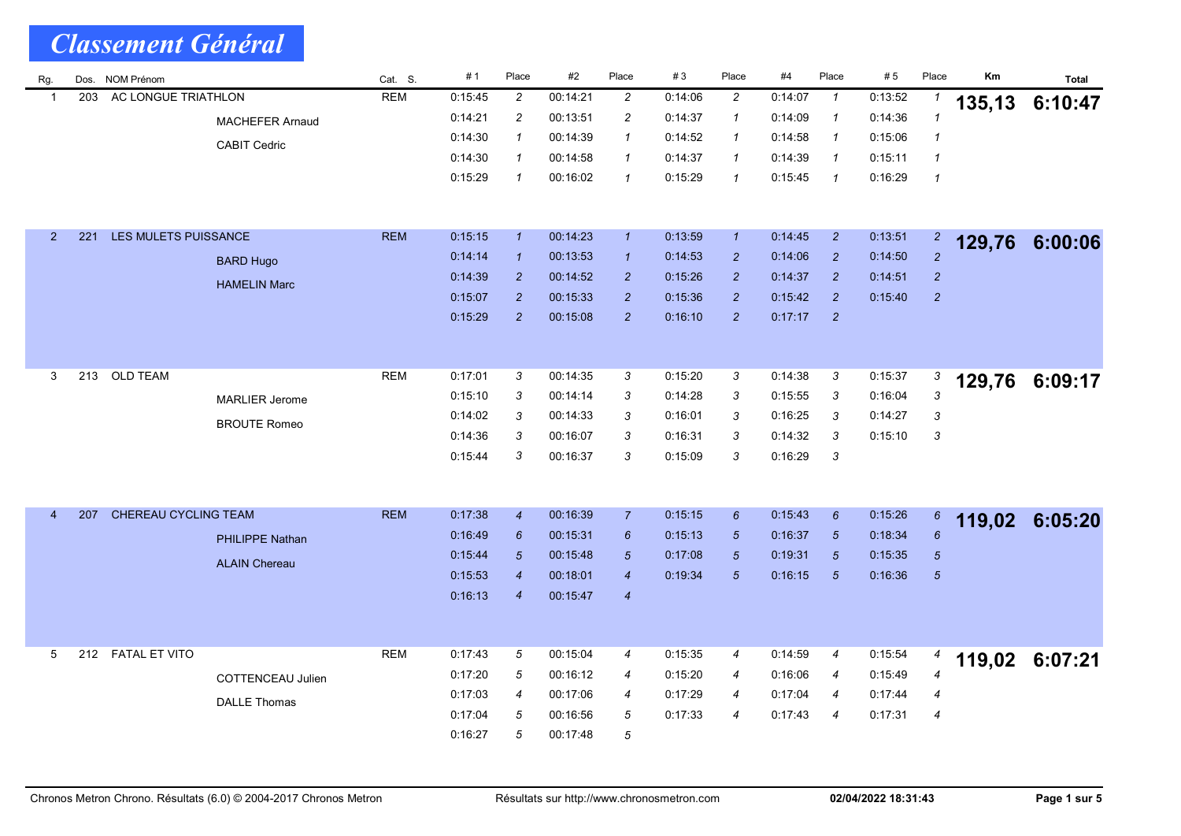| Rg.            |     | Dos. NOM Prénom      |                        | Cat. S.    | #1      | Place            | #2       | Place            | #3      | Place            | #4      | Place                      | #5      | Place            | Km     | Total   |
|----------------|-----|----------------------|------------------------|------------|---------|------------------|----------|------------------|---------|------------------|---------|----------------------------|---------|------------------|--------|---------|
| -1             | 203 | AC LONGUE TRIATHLON  |                        | <b>REM</b> | 0:15:45 | $\overline{c}$   | 00:14:21 | $\overline{c}$   | 0:14:06 | $\overline{c}$   | 0:14:07 | $\mathbf{1}$               | 0:13:52 | 1                | 135,13 | 6:10:47 |
|                |     |                      | <b>MACHEFER Arnaud</b> |            | 0:14:21 | $\overline{c}$   | 00:13:51 | $\overline{c}$   | 0:14:37 | $\mathcal I$     | 0:14:09 | $\mathcal I$               | 0:14:36 | $\mathbf{1}$     |        |         |
|                |     |                      | <b>CABIT Cedric</b>    |            | 0:14:30 | $\mathbf{1}$     | 00:14:39 | $\mathbf{1}$     | 0:14:52 | 1                | 0:14:58 | $\boldsymbol{\mathcal{1}}$ | 0:15:06 | $\mathbf{1}$     |        |         |
|                |     |                      |                        |            | 0:14:30 | $\mathcal I$     | 00:14:58 | $\mathbf{1}$     | 0:14:37 | $\mathcal I$     | 0:14:39 | $\mathcal I$               | 0:15:11 | $\mathbf{1}$     |        |         |
|                |     |                      |                        |            | 0:15:29 | $\mathcal I$     | 00:16:02 | $\mathbf{1}$     | 0.15.29 | $\mathbf{1}$     | 0.15.45 | $\mathbf{1}$               | 0:16:29 | $\mathbf{1}$     |        |         |
|                |     |                      |                        |            |         |                  |          |                  |         |                  |         |                            |         |                  |        |         |
| $\overline{2}$ | 221 | LES MULETS PUISSANCE |                        | <b>REM</b> | 0:15:15 | $\mathbf{1}$     | 00:14:23 | $\mathbf{1}$     | 0:13:59 | $\mathbf{1}$     | 0:14:45 | $\overline{2}$             | 0:13:51 | $\overline{c}$   |        |         |
|                |     |                      |                        |            | 0:14:14 | $\mathcal{I}$    | 00:13:53 | $\mathbf{1}$     | 0.14.53 | $\overline{c}$   | 0.14.06 | $\overline{2}$             | 0:14:50 | $\overline{2}$   | 129,76 | 6:00:06 |
|                |     |                      | <b>BARD Hugo</b>       |            | 0:14:39 | $\overline{2}$   | 00:14:52 | $\overline{2}$   | 0:15:26 | $\overline{2}$   | 0.14.37 | $\overline{2}$             | 0:14:51 | $\boldsymbol{2}$ |        |         |
|                |     |                      | <b>HAMELIN Marc</b>    |            | 0:15:07 | $\overline{2}$   | 00:15:33 | $\overline{2}$   | 0:15:36 | $\overline{c}$   | 0:15:42 | $\overline{2}$             | 0.15.40 | $\overline{c}$   |        |         |
|                |     |                      |                        |            | 0:15:29 | $\overline{2}$   | 00:15:08 | $\overline{2}$   | 0:16:10 | $\overline{2}$   | 0:17:17 | $\overline{2}$             |         |                  |        |         |
|                |     |                      |                        |            |         |                  |          |                  |         |                  |         |                            |         |                  |        |         |
|                |     |                      |                        |            |         |                  |          |                  |         |                  |         |                            |         |                  |        |         |
| 3              | 213 | <b>OLD TEAM</b>      |                        | <b>REM</b> | 0:17:01 | 3                | 00:14:35 | 3                | 0:15.20 | 3                | 0:14:38 | 3                          | 0:15:37 | 3                |        |         |
|                |     |                      | <b>MARLIER Jerome</b>  |            | 0:15:10 | 3                | 00:14:14 | 3                | 0.14.28 | 3                | 0.15.55 | 3                          | 0.16.04 | 3                | 129,76 | 6:09:17 |
|                |     |                      |                        |            | 0.14:02 | 3                | 00:14:33 | 3                | 0:16:01 | 3                | 0:16:25 | 3                          | 0:14:27 | 3                |        |         |
|                |     |                      | <b>BROUTE Romeo</b>    |            | 0.14.36 | 3                | 00:16:07 | 3                | 0.16.31 | 3                | 0.14.32 | 3                          | 0.15.10 | 3                |        |         |
|                |     |                      |                        |            | 0:15:44 | 3                | 00:16:37 | 3                | 0:15:09 | 3                | 0:16:29 | 3                          |         |                  |        |         |
|                |     |                      |                        |            |         |                  |          |                  |         |                  |         |                            |         |                  |        |         |
|                |     |                      |                        |            |         |                  |          |                  |         |                  |         |                            |         |                  |        |         |
| $\overline{4}$ | 207 | CHEREAU CYCLING TEAM |                        | <b>REM</b> | 0:17:38 | $\boldsymbol{4}$ | 00:16:39 | $\overline{7}$   | 0:15:15 | $\boldsymbol{6}$ | 0:15:43 | $\boldsymbol{6}$           | 0:15:26 | 6                | 119,02 | 6:05:20 |
|                |     |                      | PHILIPPE Nathan        |            | 0:16:49 | 6                | 00:15:31 | $6\phantom{1}6$  | 0:15:13 | $\overline{5}$   | 0:16:37 | $\overline{5}$             | 0:18:34 | $6\overline{6}$  |        |         |
|                |     |                      | <b>ALAIN Chereau</b>   |            | 0.15.44 | $\overline{5}$   | 00:15:48 | $\sqrt{5}$       | 0:17:08 | 5                | 0:19:31 | 5                          | 0:15:35 | $\sqrt{5}$       |        |         |
|                |     |                      |                        |            | 0:15:53 | $\boldsymbol{4}$ | 00:18:01 | $\boldsymbol{4}$ | 0:19:34 | $\overline{5}$   | 0.16.15 | $\overline{5}$             | 0:16:36 | $\sqrt{5}$       |        |         |
|                |     |                      |                        |            | 0.16.13 | $\boldsymbol{4}$ | 00:15:47 | $\boldsymbol{4}$ |         |                  |         |                            |         |                  |        |         |
|                |     |                      |                        |            |         |                  |          |                  |         |                  |         |                            |         |                  |        |         |
|                |     |                      |                        |            |         |                  |          |                  |         |                  |         |                            |         |                  |        |         |
| 5              | 212 | <b>FATAL ET VITO</b> |                        | <b>REM</b> | 0:17:43 | 5                | 00:15:04 | $\boldsymbol{4}$ | 0:15:35 | 4                | 0:14:59 | 4                          | 0:15:54 | 4                | 119,02 | 6:07:21 |
|                |     |                      | COTTENCEAU Julien      |            | 0:17:20 | 5                | 00:16:12 | $\overline{4}$   | 0:15.20 | $\overline{4}$   | 0:16:06 | 4                          | 0:15:49 | $\overline{4}$   |        |         |
|                |     |                      | <b>DALLE Thomas</b>    |            | 0.17:03 | $\overline{4}$   | 00:17:06 | $\overline{4}$   | 0:17:29 | $\overline{4}$   | 0:17:04 | 4                          | 0.17.44 | 4                |        |         |
|                |     |                      |                        |            | 0.17:04 | 5                | 00:16:56 | 5                | 0.17.33 | $\overline{4}$   | 0:17:43 | 4                          | 0:17:31 | $\overline{4}$   |        |         |
|                |     |                      |                        |            | 0:16:27 | 5                | 00:17:48 | 5                |         |                  |         |                            |         |                  |        |         |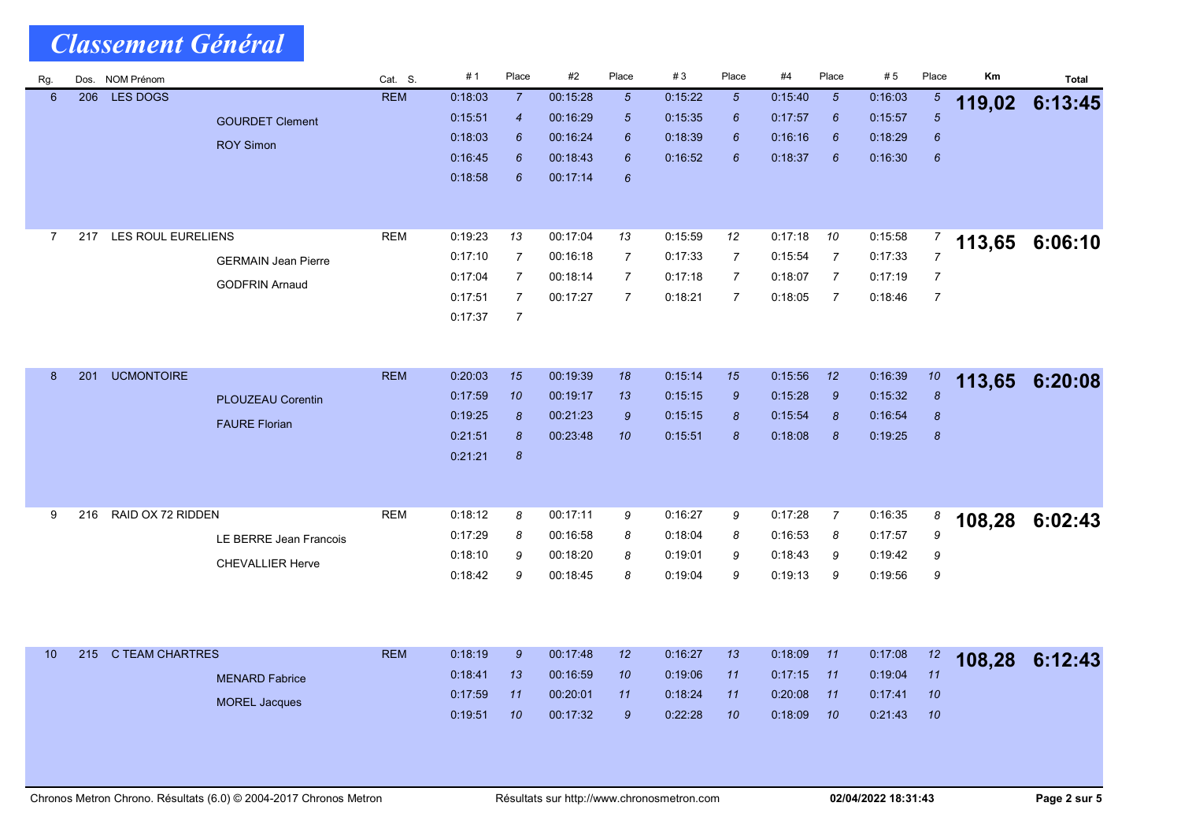| Rg.            | Dos. | NOM Prénom         |                            | Cat. S.    | #1      | Place            | #2       | Place                            | #3      | Place           | #4      | Place               | #5      | Place               | Km     | <b>Total</b> |
|----------------|------|--------------------|----------------------------|------------|---------|------------------|----------|----------------------------------|---------|-----------------|---------|---------------------|---------|---------------------|--------|--------------|
| $6\phantom{1}$ | 206  | <b>LES DOGS</b>    |                            | <b>REM</b> | 0:18:03 | $\overline{7}$   | 00:15:28 | $5\overline{5}$                  | 0:15:22 | $5\overline{5}$ | 0.15:40 | $\sqrt{5}$          | 0.16.03 | $\sqrt{5}$          | 119,02 | 6:13:45      |
|                |      |                    | <b>GOURDET Clement</b>     |            | 0:15:51 | $\boldsymbol{4}$ | 00:16:29 | $\sqrt{5}$                       | 0.15.35 | 6               | 0:17:57 | 6                   | 0.15.57 | $\overline{5}$      |        |              |
|                |      |                    | <b>ROY Simon</b>           |            | 0.18:03 | 6                | 00:16:24 | 6                                | 0:18:39 | 6               | 0:16:16 | 6                   | 0:18:29 | 6                   |        |              |
|                |      |                    |                            |            | 0:16:45 | 6                | 00:18:43 | 6                                | 0.16:52 | 6               | 0:18:37 | 6                   | 0:16:30 | 6                   |        |              |
|                |      |                    |                            |            | 0:18:58 | 6                | 00:17:14 | $\boldsymbol{6}$                 |         |                 |         |                     |         |                     |        |              |
|                |      |                    |                            |            |         |                  |          |                                  |         |                 |         |                     |         |                     |        |              |
| $\overline{7}$ | 217  | LES ROUL EURELIENS |                            | <b>REM</b> | 0:19:23 |                  | 00:17:04 |                                  | 0:15:59 |                 | 0:17:18 |                     | 0:15:58 |                     |        |              |
|                |      |                    |                            |            |         | 13               |          | 13                               |         | 12              |         | 10                  |         | 7<br>$\overline{7}$ | 113,65 | 6:06:10      |
|                |      |                    | <b>GERMAIN Jean Pierre</b> |            | 0:17:10 | $\overline{7}$   | 00:16:18 | $\overline{7}$                   | 0:17:33 | 7               | 0:15:54 | 7<br>$\overline{7}$ | 0:17:33 |                     |        |              |
|                |      |                    | <b>GODFRIN Arnaud</b>      |            | 0:17:04 | 7                | 00:18:14 | $\overline{7}$<br>$\overline{7}$ | 0.17.18 | 7               | 0:18:07 |                     | 0:17:19 | 7                   |        |              |
|                |      |                    |                            |            | 0:17:51 | $\overline{7}$   | 00:17:27 |                                  | 0:18:21 | $\overline{7}$  | 0:18:05 | $\overline{7}$      | 0:18:46 | $\overline{7}$      |        |              |
|                |      |                    |                            |            | 0:17:37 | $\overline{7}$   |          |                                  |         |                 |         |                     |         |                     |        |              |
|                |      |                    |                            |            |         |                  |          |                                  |         |                 |         |                     |         |                     |        |              |
| 8              | 201  | <b>UCMONTOIRE</b>  |                            | <b>REM</b> | 0:20:03 | 15               | 00:19:39 | 18                               | 0.15.14 | 15              | 0.15.56 | 12                  | 0.16.39 | 10                  |        |              |
|                |      |                    |                            |            | 0:17:59 | 10               | 00:19:17 | 13                               | 0:15:15 | 9               | 0:15.28 | $\mathcal{G}$       | 0:15:32 | $\boldsymbol{s}$    | 113,65 | 6:20:08      |
|                |      |                    | <b>PLOUZEAU Corentin</b>   |            | 0.19:25 | 8                | 00:21:23 | $\mathcal{G}$                    | 0.15.15 | 8               | 0:15:54 | $\boldsymbol{8}$    | 0.16.54 | $\pmb{8}$           |        |              |
|                |      |                    | <b>FAURE Florian</b>       |            | 0:21:51 | 8                | 00:23:48 | 10                               | 0:15:51 | 8               | 0:18:08 | 8                   | 0:19:25 | $\pmb{8}$           |        |              |
|                |      |                    |                            |            | 0:21:21 | 8                |          |                                  |         |                 |         |                     |         |                     |        |              |
|                |      |                    |                            |            |         |                  |          |                                  |         |                 |         |                     |         |                     |        |              |
|                |      |                    |                            |            |         |                  |          |                                  |         |                 |         |                     |         |                     |        |              |
| 9              | 216  | RAID OX 72 RIDDEN  |                            | <b>REM</b> | 0:18:12 | 8                | 00:17:11 | 9                                | 0:16.27 | 9               | 0:17:28 | $\boldsymbol{7}$    | 0:16:35 | 8                   | 108,28 | 6:02:43      |
|                |      |                    | LE BERRE Jean Francois     |            | 0.17:29 | 8                | 00:16:58 | 8                                | 0:18:04 | 8               | 0:16:53 | 8                   | 0:17:57 | 9                   |        |              |
|                |      |                    | <b>CHEVALLIER Herve</b>    |            | 0:18:10 | 9                | 00:18:20 | 8                                | 0:19:01 | 9               | 0:18:43 | 9                   | 0:19:42 | 9                   |        |              |
|                |      |                    |                            |            | 0:18:42 | 9                | 00:18:45 | 8                                | 0:19:04 | 9               | 0:19:13 | 9                   | 0:19:56 | 9                   |        |              |
|                |      |                    |                            |            |         |                  |          |                                  |         |                 |         |                     |         |                     |        |              |
|                |      |                    |                            |            |         |                  |          |                                  |         |                 |         |                     |         |                     |        |              |
|                |      |                    |                            |            |         |                  |          |                                  |         |                 |         |                     |         |                     |        |              |
| 10             | 215  | C TEAM CHARTRES    |                            | <b>REM</b> | 0.18.19 | $\mathcal{G}$    | 00:17:48 | 12                               | 0:16:27 | 13              | 0.18.09 | 11                  | 0:17:08 | 12                  | 108,28 | 6:12:43      |
|                |      |                    | <b>MENARD Fabrice</b>      |            | 0:18:41 | 13               | 00 16:59 | 10                               | 0.19.06 | 11              | 0:17:15 | 11                  | 0.19.04 | 11                  |        |              |
|                |      |                    | <b>MOREL Jacques</b>       |            | 0.17:59 | 11               | 00:20:01 | 11                               | 0.18.24 | 11              | 0:20:08 | 11                  | 0.17.41 | 10                  |        |              |
|                |      |                    |                            |            | 0:19:51 | 10               | 00:17:32 | $\mathcal{G}$                    | 0.22.28 | 10              | 0.18:09 | 10                  | 0:21:43 | 10                  |        |              |
|                |      |                    |                            |            |         |                  |          |                                  |         |                 |         |                     |         |                     |        |              |
|                |      |                    |                            |            |         |                  |          |                                  |         |                 |         |                     |         |                     |        |              |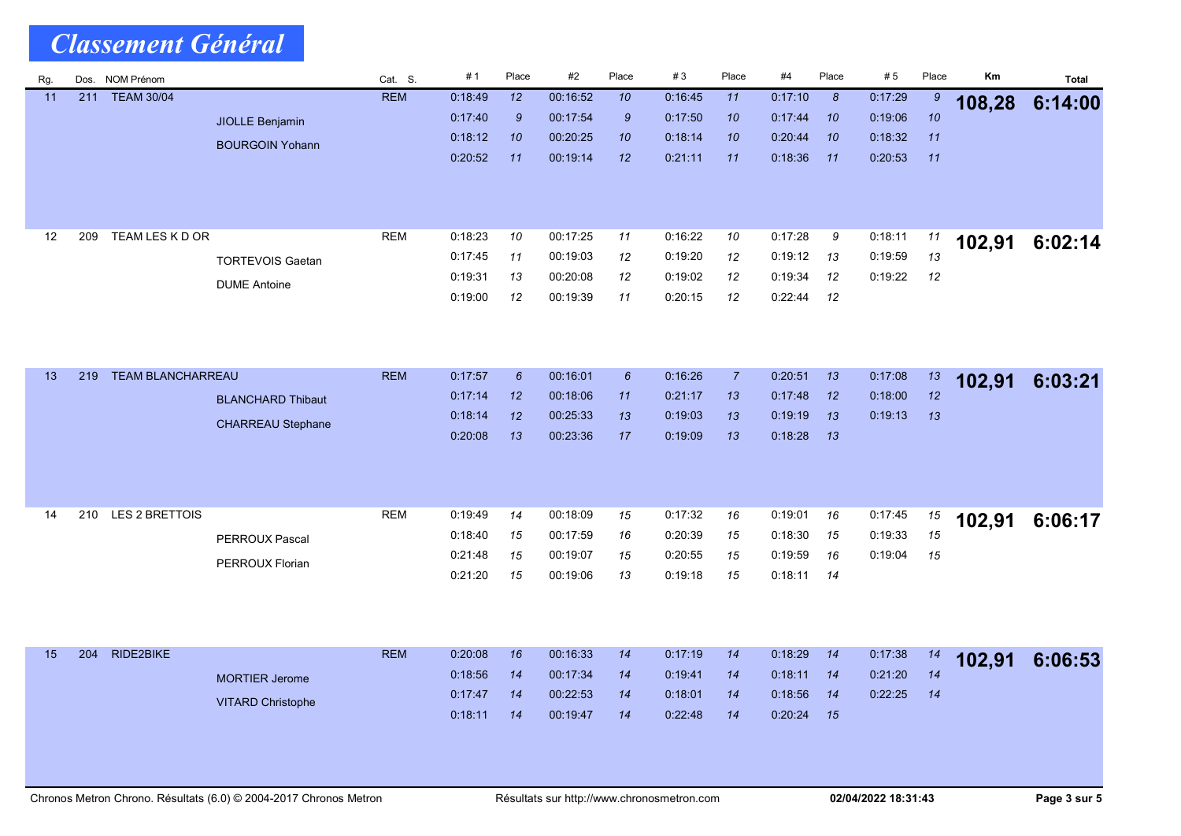| Rg. |     | Dos. NOM Prénom          |                          | Cat. S.    | #1      | Place            | #2                   | Place           | #3      | Place          | #4      | Place    | #5      | Place    | Km     | <b>Total</b> |
|-----|-----|--------------------------|--------------------------|------------|---------|------------------|----------------------|-----------------|---------|----------------|---------|----------|---------|----------|--------|--------------|
| 11  | 211 | <b>TEAM 30/04</b>        |                          | <b>REM</b> | 0.18.49 | 12               | 00:16:52             | 10              | 0:16:45 | 11             | 0:17:10 | 8        | 0.17.29 | 9        | 108,28 | 6:14:00      |
|     |     |                          | <b>JIOLLE Benjamin</b>   |            | 0:17:40 | $\boldsymbol{9}$ | 00:17:54             | 9               | 0:17:50 | 10             | 0:17:44 | 10       | 0:19:06 | 10       |        |              |
|     |     |                          | <b>BOURGOIN Yohann</b>   |            | 0.18.12 | 10               | 00:20:25             | 10              | 0.18.14 | 10             | 0:20:44 | 10       | 0:18:32 | 11       |        |              |
|     |     |                          |                          |            | 0:20:52 | 11               | 00:19:14             | 12              | 0.21.11 | 11             | 0:18:36 | 11       | 0:20:53 | 11       |        |              |
|     |     |                          |                          |            |         |                  |                      |                 |         |                |         |          |         |          |        |              |
|     |     |                          |                          |            |         |                  |                      |                 |         |                |         |          |         |          |        |              |
|     |     |                          |                          |            |         |                  |                      |                 |         |                |         |          |         |          |        |              |
| 12  | 209 | TEAM LES K D OR          |                          | <b>REM</b> | 0:18:23 | 10               | 00:17:25             | 11              | 0:16:22 | 10             | 0:17:28 | 9        | 0.18.11 | 11       | 102,91 | 6:02:14      |
|     |     |                          | <b>TORTEVOIS Gaetan</b>  |            | 0:17:45 | 11               | 00:19:03             | 12              | 0:19:20 | 12             | 0:19:12 | 13       | 0:19:59 | 13       |        |              |
|     |     |                          | <b>DUME Antoine</b>      |            | 0.19.31 | 13               | 00:20:08             | 12              | 0:19:02 | 12             | 0:19:34 | 12       | 0:19:22 | 12       |        |              |
|     |     |                          |                          |            | 0:19:00 | 12               | 00:19:39             | 11              | 0:20:15 | 12             | 0:22:44 | 12       |         |          |        |              |
|     |     |                          |                          |            |         |                  |                      |                 |         |                |         |          |         |          |        |              |
|     |     |                          |                          |            |         |                  |                      |                 |         |                |         |          |         |          |        |              |
| 13  | 219 | <b>TEAM BLANCHARREAU</b> |                          | <b>REM</b> | 0:17:57 | $6\overline{6}$  | 00:16:01             | $6\overline{6}$ | 0:16:26 | $\overline{7}$ | 0:20:51 | 13       | 0:17:08 |          |        |              |
|     |     |                          |                          |            | 0:17:14 | 12               |                      | 11              | 0:21:17 | 13             | 0:17:48 |          | 0:18:00 | 13<br>12 | 102,91 | 6:03:21      |
|     |     |                          | <b>BLANCHARD Thibaut</b> |            | 0:18:14 | 12               | 00:18:06<br>00:25:33 | 13              | 0.19:03 | 13             | 0:19:19 | 12<br>13 | 0:19:13 | 13       |        |              |
|     |     |                          | <b>CHARREAU Stephane</b> |            | 0:20:08 | 13               | 00:23:36             | 17              | 0:19:09 |                | 0:18:28 |          |         |          |        |              |
|     |     |                          |                          |            |         |                  |                      |                 |         | 13             |         | 13       |         |          |        |              |
|     |     |                          |                          |            |         |                  |                      |                 |         |                |         |          |         |          |        |              |
|     |     |                          |                          |            |         |                  |                      |                 |         |                |         |          |         |          |        |              |
| 14  | 210 | <b>LES 2 BRETTOIS</b>    |                          | <b>REM</b> | 0:19:49 | 14               | 00:18:09             | 15              | 0:17:32 | 16             | 0:19:01 | 16       | 0:17:45 | 15       |        |              |
|     |     |                          |                          |            | 0:18:40 | 15               | 00:17:59             | 16              | 0:20:39 | 15             | 0:18:30 | 15       | 0:19:33 | 15       | 102,91 | 6:06:17      |
|     |     |                          | PERROUX Pascal           |            | 0:21:48 | 15               | 00:19:07             | 15              | 0:20:55 | 15             | 0:19:59 | 16       | 0:19:04 | 15       |        |              |
|     |     |                          | PERROUX Florian          |            | 0:21:20 | 15               | 00:19:06             | 13              | 0.19.18 | 15             | 0:18:11 | 14       |         |          |        |              |
|     |     |                          |                          |            |         |                  |                      |                 |         |                |         |          |         |          |        |              |
|     |     |                          |                          |            |         |                  |                      |                 |         |                |         |          |         |          |        |              |
|     |     |                          |                          |            |         |                  |                      |                 |         |                |         |          |         |          |        |              |
| 15  | 204 | RIDE2BIKE                |                          | <b>REM</b> | 0.20.08 | 16               | 00:16:33             | 14              | 0:17:19 | 14             | 0:18:29 | 14       | 0:17:38 | 14       |        | 6:06:53      |
|     |     |                          | <b>MORTIER Jerome</b>    |            | 0.18.56 | 14               | 00:17:34             | 14              | 0:19:41 | 14             | 0:18:11 | 14       | 0.21.20 | 14       | 102,91 |              |
|     |     |                          |                          |            | 0.17:47 | 14               | 00:22:53             | 14              | 0.18.01 | 14             | 0:18:56 | 14       | 0:22:25 | 14       |        |              |
|     |     |                          | <b>VITARD Christophe</b> |            | 0:18:11 | 14               | 00:19:47             | 14              | 0.22.48 | 14             | 0.20:24 | 15       |         |          |        |              |
|     |     |                          |                          |            |         |                  |                      |                 |         |                |         |          |         |          |        |              |
|     |     |                          |                          |            |         |                  |                      |                 |         |                |         |          |         |          |        |              |
|     |     |                          |                          |            |         |                  |                      |                 |         |                |         |          |         |          |        |              |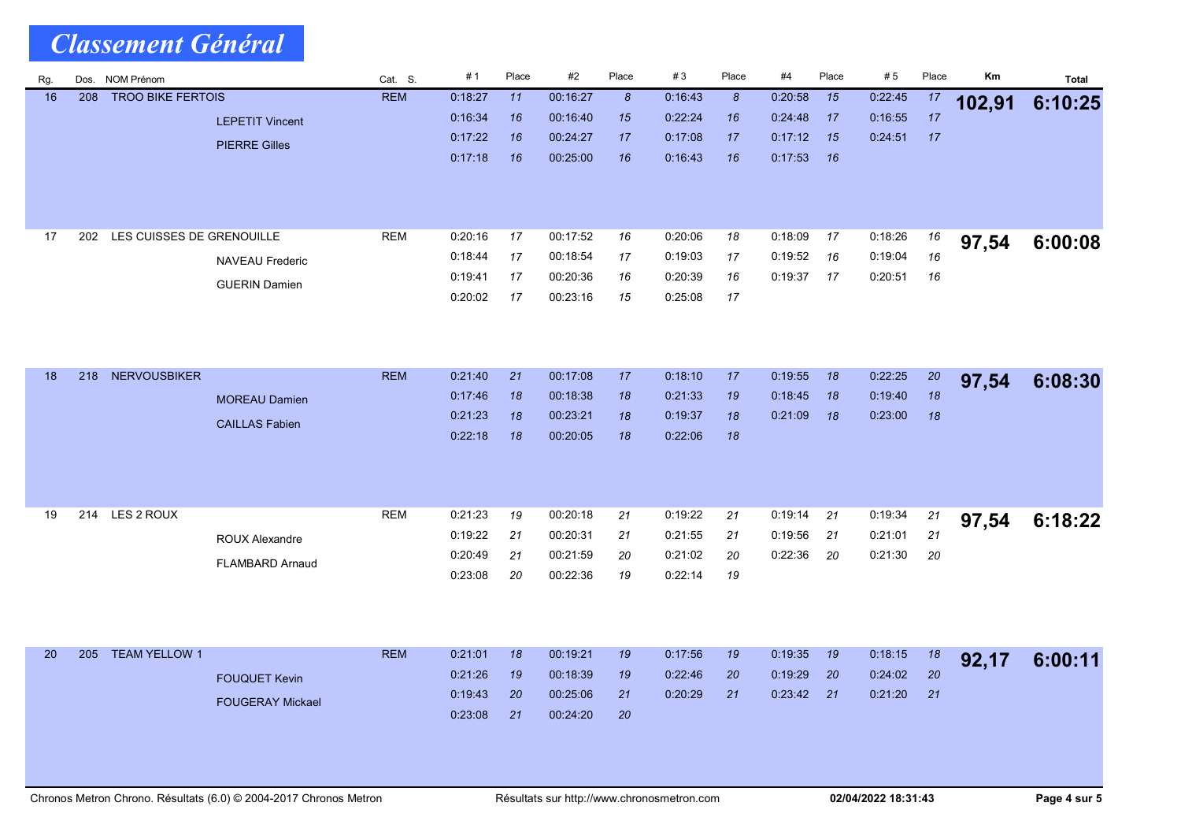| Rg. | Dos. | <b>NOM Prénom</b>         |                         | Cat. S.    | #1      | Place | #2       | Place            | #3      | Place            | #4      | Place | #5      | Place | Km     | <b>Total</b> |
|-----|------|---------------------------|-------------------------|------------|---------|-------|----------|------------------|---------|------------------|---------|-------|---------|-------|--------|--------------|
| 16  | 208  | <b>TROO BIKE FERTOIS</b>  |                         | <b>REM</b> | 0:18:27 | 11    | 00:16:27 | $\boldsymbol{8}$ | 0:16:43 | $\boldsymbol{8}$ | 0:20:58 | 15    | 0:22:45 | 17    | 102,91 | 6:10:25      |
|     |      |                           | <b>LEPETIT Vincent</b>  |            | 0:16.34 | 16    | 00:16:40 | 15               | 0.22.24 | 16               | 0:24:48 | 17    | 0:16:55 | 17    |        |              |
|     |      |                           | <b>PIERRE Gilles</b>    |            | 0:17:22 | 16    | 00:24:27 | 17               | 0:17:08 | 17               | 0:17:12 | 15    | 0:24:51 | 17    |        |              |
|     |      |                           |                         |            | 0:17:18 | 16    | 00:25:00 | 16               | 0:16.43 | 16               | 0:17:53 | 16    |         |       |        |              |
|     |      |                           |                         |            |         |       |          |                  |         |                  |         |       |         |       |        |              |
|     |      |                           |                         |            |         |       |          |                  |         |                  |         |       |         |       |        |              |
|     |      |                           |                         |            |         |       |          |                  |         |                  |         |       |         |       |        |              |
| 17  | 202  | LES CUISSES DE GRENOUILLE |                         | REM        | 0.20:16 | 17    | 00:17:52 | 16               | 0:20:06 | 18               | 0:18:09 | 17    | 0.18.26 | 16    | 97,54  | 6:00:08      |
|     |      |                           | <b>NAVEAU Frederic</b>  |            | 0:18:44 | 17    | 00:18:54 | 17               | 0:19:03 | 17               | 0:19:52 | 16    | 0:19:04 | 16    |        |              |
|     |      |                           | <b>GUERIN Damien</b>    |            | 0.19.41 | 17    | 00:20:36 | 16               | 0:20:39 | 16               | 0:19:37 | 17    | 0.20.51 | 16    |        |              |
|     |      |                           |                         |            | 0.20:02 | 17    | 00:23:16 | 15               | 0:25:08 | 17               |         |       |         |       |        |              |
|     |      |                           |                         |            |         |       |          |                  |         |                  |         |       |         |       |        |              |
|     |      |                           |                         |            |         |       |          |                  |         |                  |         |       |         |       |        |              |
| 18  | 218  | <b>NERVOUSBIKER</b>       |                         | <b>REM</b> | 0:21:40 | 21    | 00:17:08 | 17               | 0:18:10 | 17               | 0:19:55 | 18    | 0:22:25 | 20    |        |              |
|     |      |                           |                         |            | 0:17:46 | 18    | 00:18:38 | 18               | 0:21:33 | 19               | 0:18:45 | 18    | 0:19:40 | 18    | 97,54  | 6:08:30      |
|     |      |                           | <b>MOREAU Damien</b>    |            | 0:21:23 | 18    | 00:23:21 | 18               | 0:19:37 | 18               | 0:21:09 | 18    | 0:23:00 | 18    |        |              |
|     |      |                           | <b>CAILLAS Fabien</b>   |            | 0.22:18 | 18    | 00:20:05 | 18               | 0:22:06 | 18               |         |       |         |       |        |              |
|     |      |                           |                         |            |         |       |          |                  |         |                  |         |       |         |       |        |              |
|     |      |                           |                         |            |         |       |          |                  |         |                  |         |       |         |       |        |              |
|     |      |                           |                         |            |         |       |          |                  |         |                  |         |       |         |       |        |              |
| 19  | 214  | LES 2 ROUX                |                         | <b>REM</b> | 0:21:23 | 19    | 00:20:18 | 21               | 0:19:22 | 21               | 0:19:14 | 21    | 0:19:34 | 21    | 97,54  | 6:18:22      |
|     |      |                           | <b>ROUX Alexandre</b>   |            | 0:19:22 | 21    | 00:20:31 | 21               | 0:21:55 | 21               | 0:19:56 | 21    | 0:21:01 | 21    |        |              |
|     |      |                           |                         |            | 0:20:49 | 21    | 00:21:59 | 20               | 0:21:02 | 20               | 0:22:36 | 20    | 0:21:30 | 20    |        |              |
|     |      |                           | <b>FLAMBARD Arnaud</b>  |            | 0.23:08 | 20    | 00:22:36 | 19               | 0.22.14 | 19               |         |       |         |       |        |              |
|     |      |                           |                         |            |         |       |          |                  |         |                  |         |       |         |       |        |              |
|     |      |                           |                         |            |         |       |          |                  |         |                  |         |       |         |       |        |              |
|     |      |                           |                         |            |         |       |          |                  |         |                  |         |       |         |       |        |              |
| 20  | 205  | <b>TEAM YELLOW 1</b>      |                         | <b>REM</b> | 0.21.01 | 18    | 00:19:21 | 19               | 0:17:56 | 19               | 0:19:35 | 19    | 0:18:15 | 18    | 92,17  | 6:00:11      |
|     |      |                           | <b>FOUQUET Kevin</b>    |            | 0:21:26 | 19    | 00:18:39 | 19               | 0:22:46 | 20               | 0.19.29 | 20    | 0:24:02 | 20    |        |              |
|     |      |                           | <b>FOUGERAY Mickael</b> |            | 0:19:43 | 20    | 00:25:06 | 21               | 0:20:29 | 21               | 0:23:42 | 21    | 0:21:20 | 21    |        |              |
|     |      |                           |                         |            | 0.23:08 | 21    | 00:24:20 | 20               |         |                  |         |       |         |       |        |              |
|     |      |                           |                         |            |         |       |          |                  |         |                  |         |       |         |       |        |              |
|     |      |                           |                         |            |         |       |          |                  |         |                  |         |       |         |       |        |              |